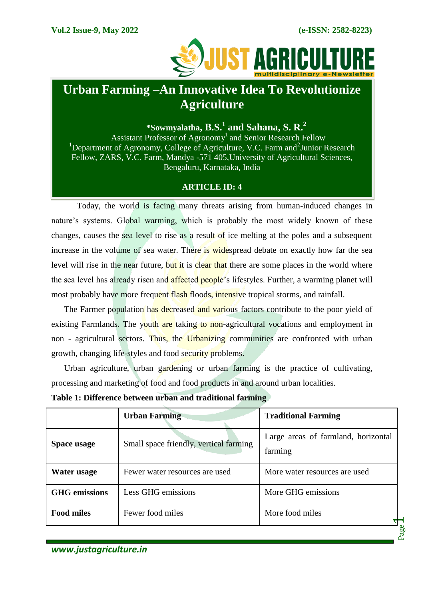

# **Urban Farming –An Innovative Idea To Revolutionize Agriculture**

**\*Sowmyalatha, B.S.<sup>1</sup> and Sahana, S. R.<sup>2</sup>**

Assistant Professor of Agronomy<sup>1</sup> and Senior Research Fellow <sup>1</sup>Department of Agronomy, College of Agriculture, V.C. Farm and<sup>2</sup>Junior Research Fellow, ZARS, V.C. Farm, Mandya -571 405,University of Agricultural Sciences, Bengaluru, Karnataka, India

## **ARTICLE ID: 4**

Today, the world is facing many threats arising from human-induced changes in nature's systems. Global warming, which is probably the most widely known of these changes, causes the sea level to rise as a result of ice melting at the poles and a subsequent increase in the volume of sea water. There is widespread debate on exactly how far the sea level will rise in the near future, but it is clear that there are some places in the world where the sea level has already risen and affected people's lifestyles. Further, a warming planet will most probably have more frequent flash floods, intensive tropical storms, and rainfall.

The Farmer population has decreased and various factors contribute to the poor yield of existing Farmlands. The youth are taking to non-agricultural vocations and employment in non - agricultural sectors. Thus, the Urbanizing communities are confronted with urban growth, changing life-styles and food security problems.

Urban agriculture, urban gardening or urban farming is the practice of cultivating, processing and marketing of food and food products in and around urban localities.

|                      | <b>Urban Farming</b>                   | <b>Traditional Farming</b>                     |
|----------------------|----------------------------------------|------------------------------------------------|
| Space usage          | Small space friendly, vertical farming | Large areas of farmland, horizontal<br>farming |
| Water usage          | Fewer water resources are used         | More water resources are used                  |
| <b>GHG</b> emissions | Less GHG emissions                     | More GHG emissions                             |
| <b>Food miles</b>    | Fewer food miles                       | More food miles                                |
|                      |                                        | Page                                           |

**Table 1: Difference between urban and traditional farming**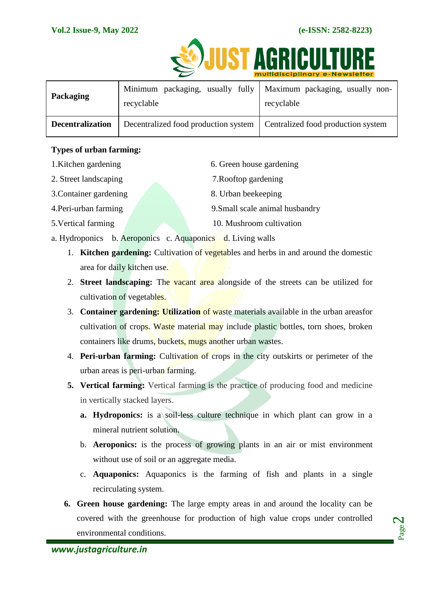

|                         |                                                                                  | <u>INDITIONSCIPTINGLY E-NEWSIELIEL</u> |
|-------------------------|----------------------------------------------------------------------------------|----------------------------------------|
| Packaging               | Minimum packaging, usually fully   Maximum packaging, usually non-<br>recyclable | recyclable                             |
| <b>Decentralization</b> | Decentralized food production system                                             | Centralized food production system     |

#### **Types of urban farming:**

- 1. Kitchen gardening 6. Green house gardening
- 2. Street landscaping 7.Rooftop gardening
- 3. Container gardening 8. Urban beekeeping
- 4. Peri-urban farming 2.5 and 9. Small scale animal husbandry
- 5.Vertical farming 10. Mushroom cultivation
- a. Hydroponics b. Aeroponics c. Aquaponics d. Living walls
	- 1. **Kitchen gardening:** Cultivation of vegetables and herbs in and around the domestic area for daily kitchen use.
	- 2. **Street landscaping:** The vacant area alongside of the streets can be utilized for cultivation of vegetables.
	- 3. **Container gardening: Utilization** of waste materials available in the urban areasfor cultivation of crops. Waste material may include plastic bottles, torn shoes, broken containers like drums, buckets, mugs another urban wastes.
	- 4. **Peri-urban farming:** Cultivation of crops in the city outskirts or perimeter of the urban areas is peri-urban farming.
	- **5. Vertical farming:** Vertical farming is the practice of producing food and medicine in vertically stacked layers.
		- **a. Hydroponics:** is a soil-less culture technique in which plant can grow in a mineral nutrient solution.
		- b. **Aeroponics:** is the process of growing plants in an air or mist environment without use of soil or an aggregate media.
		- c. **Aquaponics:** Aquaponics is the farming of fish and plants in a single recirculating system.
	- **6. Green house gardening:** The large empty areas in and around the locality can be covered with the greenhouse for production of high value crops under controlled environmental conditions.

Page  $\boldsymbol{\sim}$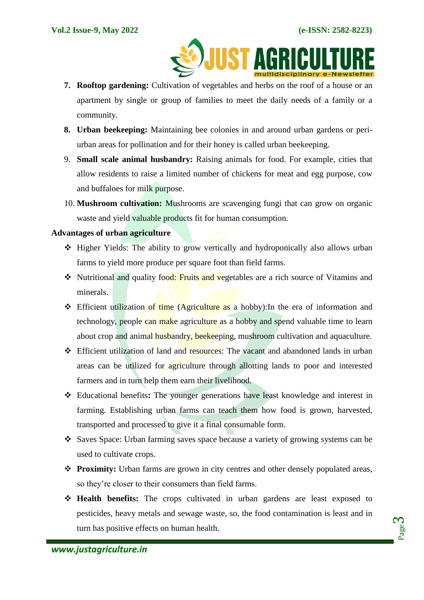

- **7. Rooftop gardening:** Cultivation of vegetables and herbs on the roof of a house or an apartment by single or group of families to meet the daily needs of a family or a community.
- **8. Urban beekeeping:** Maintaining bee colonies in and around urban gardens or periurban areas for pollination and for their honey is called urban beekeeping.
- 9. **Small scale animal husbandry:** Raising animals for food. For example, cities that allow residents to raise a limited number of chickens for meat and egg purpose, cow and buffaloes for milk purpose.
- 10. **Mushroom cultivation:** Mushrooms are scavenging fungi that can grow on organic waste and yield valuable products fit for human consumption.

#### **Advantages of urban agriculture**

- Higher Yields: The ability to grow vertically and hydroponically also allows urban farms to yield more [produce](https://puregreensaz.com/greenhouse-yields/) per square foot than field farms.
- **◆** Nutritional and quality food: Fruits and vegetables are a rich source of Vitamins and minerals.
- **Efficient utilization of time (Agriculture as a hobby):** In the era of information and technology, people can make agriculture as a hobby and spend valuable time to learn about crop and animal husbandry, beekeeping, mushroom cultivation and aquaculture.
- Efficient utilization of land and resources: The vacant and abandoned lands in urban areas can be utilized for agriculture through allotting lands to poor and interested farmers and in turn help them earn their livelihood.
- Educational benefits**:** The younger generations have least knowledge and interest in farming. Establishing urban farms can teach them how food is grown, harvested, transported and processed to give it a final consumable form.
- Saves Space: Urban farming saves space because a variety of growing systems can be used to cultivate crops.
- **Proximity:** Urban farms are grown in city centres and other densely populated areas, so they're closer to their consumers than field farms.
- **Health benefits:** The crops cultivated in urban gardens are least exposed to pesticides, heavy metals and sewage waste, so, the food contamination is least and in turn has positive effects on human health.